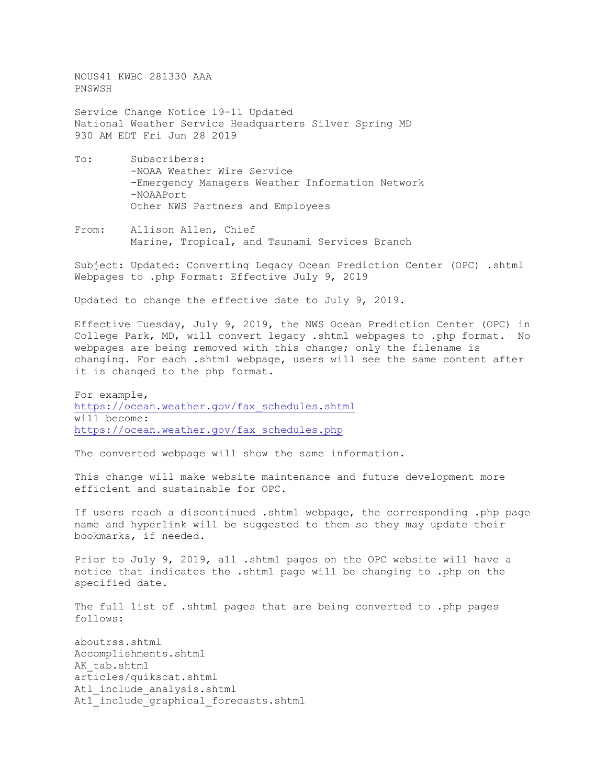NOUS41 KWBC 281330 AAA PNSWSH

Service Change Notice 19-11 Updated National Weather Service Headquarters Silver Spring MD 930 AM EDT Fri Jun 28 2019

- To: Subscribers: -NOAA Weather Wire Service -Emergency Managers Weather Information Network -NOAAPort Other NWS Partners and Employees
- From: Allison Allen, Chief Marine, Tropical, and Tsunami Services Branch

Subject: Updated: Converting Legacy Ocean Prediction Center (OPC) .shtml Webpages to .php Format: Effective July 9, 2019

Updated to change the effective date to July 9, 2019.

Effective Tuesday, July 9, 2019, the NWS Ocean Prediction Center (OPC) in College Park, MD, will convert legacy .shtml webpages to .php format. No webpages are being removed with this change; only the filename is changing. For each .shtml webpage, users will see the same content after it is changed to the php format.

For example, [https://ocean.weather.gov/fax\\_schedules.shtml](https://ocean.weather.gov/fax_schedules.shtml) will become: [https://ocean.weather.gov/fax\\_schedules.php](https://ocean.weather.gov/fax_schedules.php)

The converted webpage will show the same information.

This change will make website maintenance and future development more efficient and sustainable for OPC.

If users reach a discontinued .shtml webpage, the corresponding .php page name and hyperlink will be suggested to them so they may update their bookmarks, if needed.

Prior to July 9, 2019, all .shtml pages on the OPC website will have a notice that indicates the .shtml page will be changing to .php on the specified date.

The full list of .shtml pages that are being converted to .php pages follows:

aboutrss.shtml Accomplishments.shtml AK tab.shtml articles/quikscat.shtml Atl include analysis.shtml Atl include graphical forecasts.shtml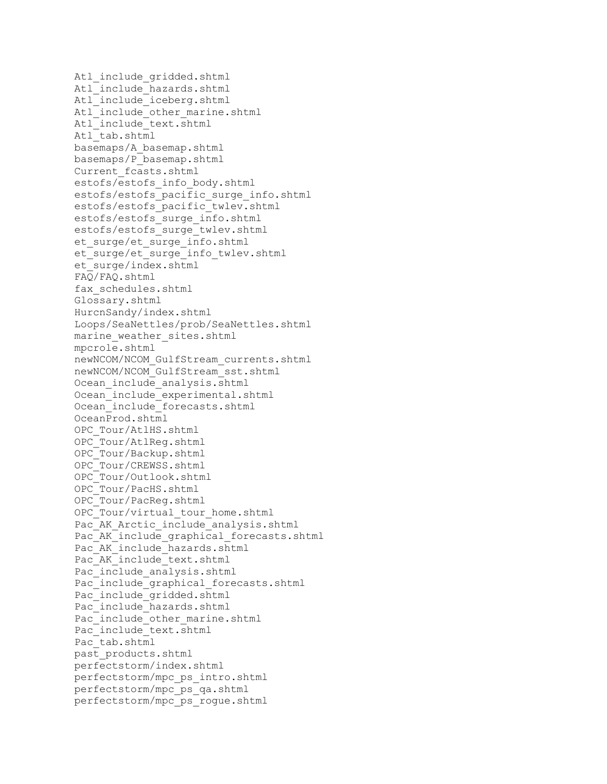Atl include gridded.shtml Atl include hazards.shtml Atl include iceberg.shtml Atl include other marine.shtml Atl include text.shtml Atl\_tab.shtml basemaps/A\_basemap.shtml basemaps/P\_basemap.shtml Current\_fcasts.shtml estofs/estofs\_info\_body.shtml estofs/estofs pacific surge info.shtml estofs/estofs\_pacific\_twlev.shtml estofs/estofs\_surge\_info.shtml estofs/estofs\_surge\_twlev.shtml et surge/et surge info.shtml et surge/et surge info twlev.shtml et\_surge/index.shtml FAQ/FAQ.shtml fax\_schedules.shtml Glossary.shtml HurcnSandy/index.shtml Loops/SeaNettles/prob/SeaNettles.shtml marine weather sites.shtml mpcrole.shtml newNCOM/NCOM\_GulfStream\_currents.shtml newNCOM/NCOM\_GulfStream\_sst.shtml Ocean include analysis.shtml Ocean include experimental.shtml Ocean include forecasts.shtml OceanProd.shtml OPC\_Tour/AtlHS.shtml OPC\_Tour/AtlReg.shtml OPC\_Tour/Backup.shtml OPC\_Tour/CREWSS.shtml OPC\_Tour/Outlook.shtml OPC\_Tour/PacHS.shtml OPC\_Tour/PacReg.shtml OPC Tour/virtual tour home.shtml Pac AK Arctic include analysis.shtml Pac AK include graphical forecasts.shtml Pac AK include hazards.shtml Pac AK include text.shtml Pac include analysis.shtml Pac include graphical forecasts.shtml Pac include gridded.shtml Pac include hazards.shtml Pac include other marine.shtml Pac include text.shtml Pac\_tab.shtml past\_products.shtml perfectstorm/index.shtml perfectstorm/mpc\_ps\_intro.shtml perfectstorm/mpc\_ps\_qa.shtml perfectstorm/mpc\_ps\_rogue.shtml